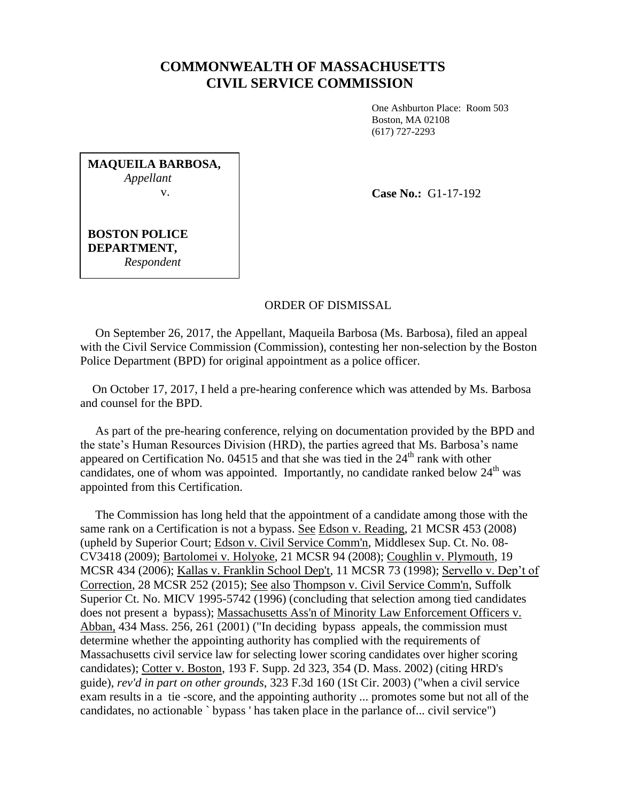## **COMMONWEALTH OF MASSACHUSETTS CIVIL SERVICE COMMISSION**

One Ashburton Place: Room 503 Boston, MA 02108 (617) 727-2293

**MAQUEILA BARBOSA,** *Appellant* v.

**Case No.:** G1-17-192

**BOSTON POLICE DEPARTMENT,** *Respondent*

## ORDER OF DISMISSAL

 On September 26, 2017, the Appellant, Maqueila Barbosa (Ms. Barbosa), filed an appeal with the Civil Service Commission (Commission), contesting her non-selection by the Boston Police Department (BPD) for original appointment as a police officer.

 On October 17, 2017, I held a pre-hearing conference which was attended by Ms. Barbosa and counsel for the BPD.

 As part of the pre-hearing conference, relying on documentation provided by the BPD and the state's Human Resources Division (HRD), the parties agreed that Ms. Barbosa's name appeared on Certification No. 04515 and that she was tied in the  $24<sup>th</sup>$  rank with other candidates, one of whom was appointed. Importantly, no candidate ranked below  $24<sup>th</sup>$  was appointed from this Certification.

 The Commission has long held that the appointment of a candidate among those with the same rank on a Certification is not a bypass. See Edson v. Reading, 21 MCSR 453 (2008) (upheld by Superior Court; Edson v. Civil Service Comm'n, Middlesex Sup. Ct. No. 08- CV3418 (2009); Bartolomei v. Holyoke, 21 MCSR 94 (2008); Coughlin v. Plymouth, 19 MCSR 434 (2006); Kallas v. Franklin School Dep't, 11 MCSR 73 (1998); Servello v. Dep't of Correction, 28 MCSR 252 (2015); See also Thompson v. Civil Service Comm'n, Suffolk Superior Ct. No. MICV 1995-5742 (1996) (concluding that selection among tied candidates does not present a bypass); Massachusetts Ass'n of Minority Law Enforcement Officers v. Abban, 434 Mass. 256, 261 (2001) ("In deciding bypass appeals, the commission must determine whether the appointing authority has complied with the requirements of Massachusetts civil service law for selecting lower scoring candidates over higher scoring candidates); Cotter v. Boston, 193 F. Supp. 2d 323, 354 (D. Mass. 2002) (citing HRD's guide), *rev'd in part on other grounds*, 323 F.3d 160 (1St Cir. 2003) ("when a civil service exam results in a tie -score, and the appointing authority ... promotes some but not all of the candidates, no actionable ` bypass ' has taken place in the parlance of... civil service")